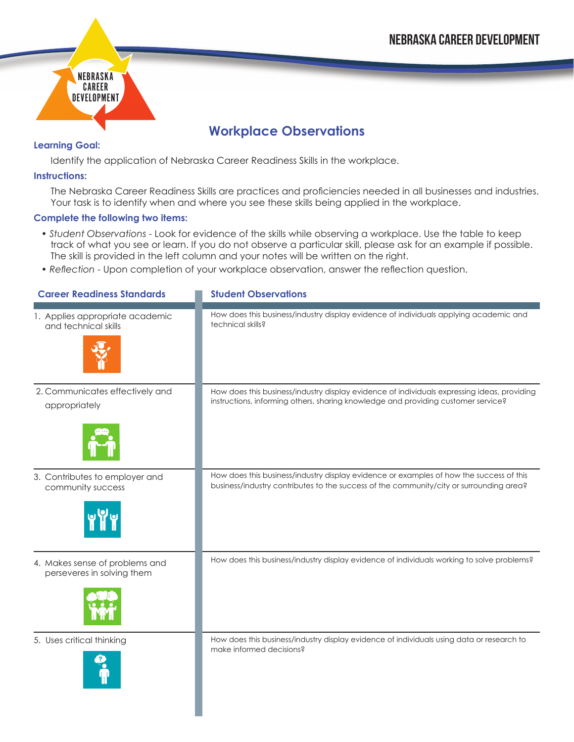

## **Workplace Observations**

## **Learning Goal:**

Identify the application of Nebraska Career Readiness Skills in the workplace.

## **Instructions:**

The Nebraska Career Readiness Skills are practices and proficiencies needed in all businesses and industries. Your task is to identify when and where you see these skills being applied in the workplace.

## **Complete the following two items:**

- *Student Observations* Look for evidence of the skills while observing a workplace. Use the table to keep track of what you see or learn. If you do not observe a particular skill, please ask for an example if possible. The skill is provided in the left column and your notes will be written on the right.
- *Reflection* Upon completion of your workplace observation, answer the reflection question.

| <b>Career Readiness Standards</b>                            | <b>Student Observations</b>                                                                                           |
|--------------------------------------------------------------|-----------------------------------------------------------------------------------------------------------------------|
| 1. Applies appropriate academic                              | How does this business/industry display evidence of individuals applying academic and                                 |
| and technical skills                                         | technical skills?                                                                                                     |
| 2. Communicates effectively and                              | How does this business/industry display evidence of individuals expressing ideas, providing                           |
| appropriately                                                | instructions, informing others, sharing knowledge and providing customer service?                                     |
| 3. Contributes to employer and                               | How does this business/industry display evidence or examples of how the success of this                               |
| community success                                            | business/industry contributes to the success of the community/city or surrounding area?                               |
| 4. Makes sense of problems and<br>perseveres in solving them | How does this business/industry display evidence of individuals working to solve problems?                            |
| 5. Uses critical thinking                                    | How does this business/industry display evidence of individuals using data or research to<br>make informed decisions? |